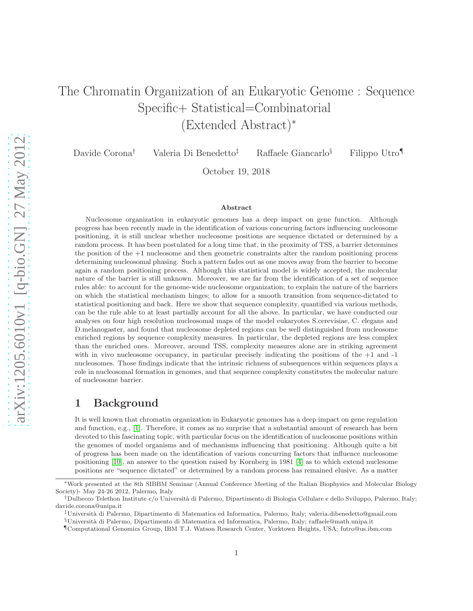# The Chromatin Organization of an Eukaryotic Genome : Sequence Specific+ Statistical=Combinatorial (Extended Abstract)<sup>∗</sup>

Davide Corona† Valeria Di Benedetto‡ Raffaele Giancarlo§ Filippo Utro¶

October 19, 2018

#### Abstract

Nucleosome organization in eukaryotic genomes has a deep impact on gene function. Although progress has been recently made in the identification of various concurring factors influencing nucleosome positioning, it is still unclear whether nucleosome positions are sequence dictated or determined by a random process. It has been postulated for a long time that, in the proximity of TSS, a barrier determines the position of the  $+1$  nucleosome and then geometric constraints alter the random positioning process determining nucleosomal phasing. Such a pattern fades out as one moves away from the barrier to become again a random positioning process. Although this statistical model is widely accepted, the molecular nature of the barrier is still unknown. Moreover, we are far from the identification of a set of sequence rules able: to account for the genome-wide nucleosome organization; to explain the nature of the barriers on which the statistical mechanism hinges; to allow for a smooth transition from sequence-dictated to statistical positioning and back. Here we show that sequence complexity, quantified via various methods, can be the rule able to at least partially account for all the above. In particular, we have conducted our analyses on four high resolution nucleosomal maps of the model eukaryotes S.cerevisiae, C. elegans and D.melanogaster, and found that nucleosome depleted regions can be well distinguished from nucleosome enriched regions by sequence complexity measures. In particular, the depleted regions are less complex than the enriched ones. Moreover, around TSS, complexity measures alone are in striking agreement with in vivo nucleosome occupancy, in particular precisely indicating the positions of the +1 and -1 nucleosomes. Those findings indicate that the intrinsic richness of subsequences within sequences plays a role in nucleosomal formation in genomes, and that sequence complexity constitutes the molecular nature of nucleosome barrier.

### 1 Background

It is well known that chromatin organization in Eukaryotic genomes has a deep impact on gene regulation and function, e.g., [\[1\]](#page-2-0). Therefore, it comes as no surprise that a substantial amount of research has been devoted to this fascinating topic, with particular focus on the identification of nucleosome positions within the genomes of model organisms and of mechanisms influencing that positioning. Although quite a bit of progress has been made on the identification of various concurring factors that influence nucleosome positioning [\[10\]](#page-2-1), an answer to the question raised by Kornberg in 1981 [\[4\]](#page-2-2) as to which extend nuclesome positions are "sequence dictated" or determined by a random process has remained elusive. As a matter

<sup>∗</sup>Work presented at the 8th SIBBM Seminar (Annual Conference Meeting of the Italian Biophysics and Molecular Biology Society)- May 24-26 2012, Palermo, Italy

<sup>†</sup>Dulbecco Telethon Institute c/o Universit`a di Palermo, Dipartimento di Biologia Cellulare e dello Sviluppo, Palermo, Italy; davide.corona@unipa.it

<sup>‡</sup>Universit`a di Palermo, Dipartimento di Matematica ed Informatica, Palermo, Italy; valeria.dibenedetto@gmail.com

<sup>§</sup>Universit`a di Palermo, Dipartimento di Matematica ed Informatica, Palermo, Italy; raffaele@math.unipa.it

<sup>¶</sup>Computational Genomics Group, IBM T.J. Watson Research Center, Yorktown Heights, USA; futro@us.ibm.com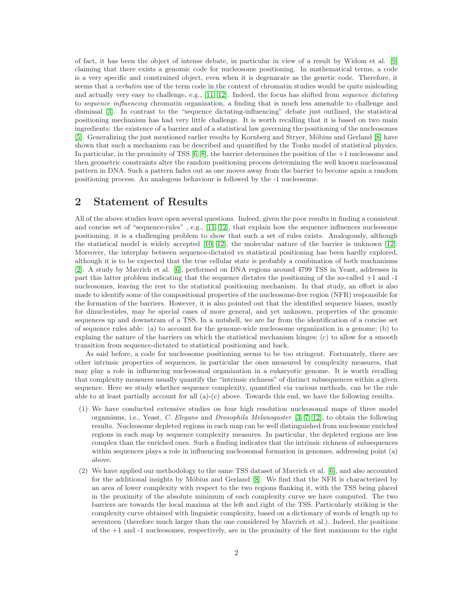of fact, it has been the object of intense debate, in particular in view of a result by Widom et al. [\[9\]](#page-2-3) claiming that there exists a genomic code for nucleosome positioning. In mathematical terms, a code is a very specific and constrained object, even when it is degenarate as the genetic code. Therefore, it seems that a verbatim use of the term code in the context of chromatin studies would be quite misleading and actually very easy to challenge, e.g., [\[11,](#page-2-4) [12\]](#page-2-5). Indeed, the focus has shifted from sequence dictating to sequence influencing chromatin organization, a finding that is much less amenable to challenge and dismissal [\[3\]](#page-2-6). In contrast to the "sequence dictating-influencing" debate just outlined, the statistical positioning mechanism has had very little challenge. It is worth recalling that it is based on two main ingredients: the existence of a barrier and of a statistical law governing the positioning of the nucleosomes [\[5\]](#page-2-7). Generalizing the just mentioned earlier results by Kornberg and Stryer, Möbius and Gerland [\[8\]](#page-2-8) have shown that such a mechanism can be described and quantified by the Tonks model of statistical physics. In particular, in the proximity of TSS  $[6, 8]$  $[6, 8]$ , the barrier determines the position of the  $+1$  nucleosome and then geometric constraints alter the random positioning process determining the well known nucleosomal pattern in DNA. Such a pattern fades out as one moves away from the barrier to become again a random positioning process. An analogous behaviour is followed by the -1 nucleosome.

### 2 Statement of Results

All of the above studies leave open several questions. Indeed, given the poor results in finding a consistent and concise set of "sequence-rules" , e.g., [\[11,](#page-2-4) [12\]](#page-2-5), that explain how the sequence influences nucleosome positioning, it is a challenging problem to show that such a set of rules exists. Analogously, although the statistical model is widely accepted [\[10,](#page-2-1) [12\]](#page-2-5), the molecular nature of the barrier is unknown [\[12\]](#page-2-5). Moreover, the interplay between sequence-dictated vs statistical positioning has been hardly explored, although it is to be expected that the true cellular state is probably a combination of both machanisms [\[2\]](#page-2-10). A study by Mavrich et al. [\[6\]](#page-2-9), performed on DNA regions around 4799 TSS in Yeast, addresses in part this latter problem indicating that the sequence dictates the positioning of the so-called +1 and -1 nucleosomes, leaving the rest to the statistical positioning mechanism. In that study, an effort is also made to identify some of the compositional properties of the nucleosome-free region (NFR) responsible for the formation of the barriers. However, it is also pointed out that the identified sequence biases, mostly for dinucleotides, may be special cases of more general, and yet unknown, properties of the genomic sequences up and downstram of a TSS. In a nutshell, we are far from the identification of a concise set of sequence rules able: (a) to account for the genome-wide nucleosome organization in a genome; (b) to explaing the nature of the barriers on which the statistical mechanism hinges; (c) to allow for a smooth transition from sequence-dictated to statistical positioning and back.

As said before, a code for nucleosome positioning seems to be too stringent. Fortunately, there are other intrinsic properties of sequences, in particular the ones measured by complexity measures, that may play a role in influencing nucleosomal organization in a eukaryotic genome. It is worth recalling that complexity measures usually quantify the "intrinsic richness" of distinct subsequences within a given sequence. Here we study whether sequence complexity, quantified via various methods, can be the rule able to at least partially account for all (a)-(c) above. Towards this end, we have the following results.

- (1) We have conducted extensive studies on four high resolution nucleosomal maps of three model orgamisms, i.e., Yeast, C. Elegans and Drosophila Melanogaster [\[3,](#page-2-6) [7,](#page-2-11) [12\]](#page-2-5), to obtain the following results. Nucleosome depleted regions in each map can be well distinguished from nuclesome enriched regions in each map by sequence complexity measures. In particular, the depleted regions are less complex than the enriched ones. Such a finding indicates that the intrinsic richness of subsequences within sequences plays a role in influencing nucleosomal formation in genomes, addressing point (a) above.
- (2) We have applied our methodology to the same TSS dataset of Mavrich et al. [\[6\]](#page-2-9), and also accounted for the additional insights by Möbius and Gerland [\[8\]](#page-2-8). We find that the NFR is characterized by an area of lower complexity with respect to the two regions flanking it, with the TSS being placed in the proximity of the absolute minimum of each complexity curve we have computed. The two barriers are towards the local maxima at the left and right of the TSS. Particularly striking is the complexity curve obtained with linguistic complexity, based on a dictionary of words of length up to seventeen (therefore much larger than the one considered by Mavrich et al.). Indeed, the positions of the +1 and -1 nucleosomes, respectively, are in the proximity of the first maximum to the right